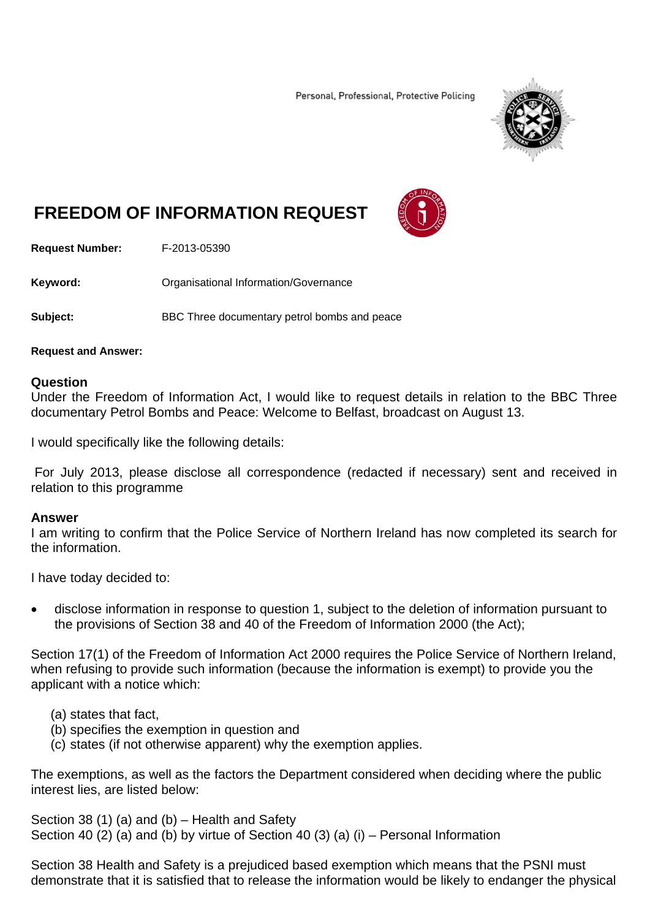Personal, Professional, Protective Policing



# **FREEDOM OF INFORMATION REQUEST**



**Request Number:** F-2013-05390

**Keyword: C**rganisational Information/Governance

**Subject:** BBC Three documentary petrol bombs and peace

#### **Request and Answer:**

#### **Question**

Under the Freedom of Information Act, I would like to request details in relation to the BBC Three documentary Petrol Bombs and Peace: Welcome to Belfast, broadcast on August 13.

I would specifically like the following details:

 For July 2013, please disclose all correspondence (redacted if necessary) sent and received in relation to this programme

#### **Answer**

I am writing to confirm that the Police Service of Northern Ireland has now completed its search for the information.

I have today decided to:

 disclose information in response to question 1, subject to the deletion of information pursuant to the provisions of Section 38 and 40 of the Freedom of Information 2000 (the Act);

Section 17(1) of the Freedom of Information Act 2000 requires the Police Service of Northern Ireland, when refusing to provide such information (because the information is exempt) to provide you the applicant with a notice which:

- (a) states that fact,
- (b) specifies the exemption in question and
- (c) states (if not otherwise apparent) why the exemption applies.

The exemptions, as well as the factors the Department considered when deciding where the public interest lies, are listed below:

Section 38 (1) (a) and (b) – Health and Safety Section 40 (2) (a) and (b) by virtue of Section 40 (3) (a) (i) – Personal Information

Section 38 Health and Safety is a prejudiced based exemption which means that the PSNI must demonstrate that it is satisfied that to release the information would be likely to endanger the physical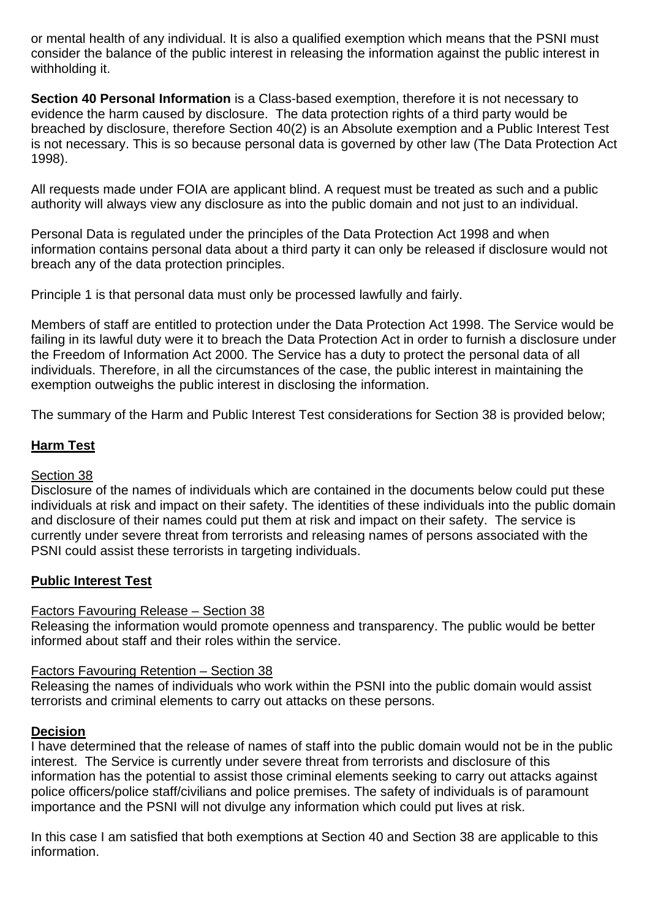or mental health of any individual. It is also a qualified exemption which means that the PSNI must consider the balance of the public interest in releasing the information against the public interest in withholding it.

**Section 40 Personal Information** is a Class-based exemption, therefore it is not necessary to evidence the harm caused by disclosure. The data protection rights of a third party would be breached by disclosure, therefore Section 40(2) is an Absolute exemption and a Public Interest Test is not necessary. This is so because personal data is governed by other law (The Data Protection Act 1998).

All requests made under FOIA are applicant blind. A request must be treated as such and a public authority will always view any disclosure as into the public domain and not just to an individual.

Personal Data is regulated under the principles of the Data Protection Act 1998 and when information contains personal data about a third party it can only be released if disclosure would not breach any of the data protection principles.

Principle 1 is that personal data must only be processed lawfully and fairly.

Members of staff are entitled to protection under the Data Protection Act 1998. The Service would be failing in its lawful duty were it to breach the Data Protection Act in order to furnish a disclosure under the Freedom of Information Act 2000. The Service has a duty to protect the personal data of all individuals. Therefore, in all the circumstances of the case, the public interest in maintaining the exemption outweighs the public interest in disclosing the information.

The summary of the Harm and Public Interest Test considerations for Section 38 is provided below;

# **Harm Test**

# Section 38

Disclosure of the names of individuals which are contained in the documents below could put these individuals at risk and impact on their safety. The identities of these individuals into the public domain and disclosure of their names could put them at risk and impact on their safety. The service is currently under severe threat from terrorists and releasing names of persons associated with the PSNI could assist these terrorists in targeting individuals.

# **Public Interest Test**

# Factors Favouring Release – Section 38

Releasing the information would promote openness and transparency. The public would be better informed about staff and their roles within the service.

# Factors Favouring Retention – Section 38

Releasing the names of individuals who work within the PSNI into the public domain would assist terrorists and criminal elements to carry out attacks on these persons.

# **Decision**

I have determined that the release of names of staff into the public domain would not be in the public interest. The Service is currently under severe threat from terrorists and disclosure of this information has the potential to assist those criminal elements seeking to carry out attacks against police officers/police staff/civilians and police premises. The safety of individuals is of paramount importance and the PSNI will not divulge any information which could put lives at risk.

In this case I am satisfied that both exemptions at Section 40 and Section 38 are applicable to this information.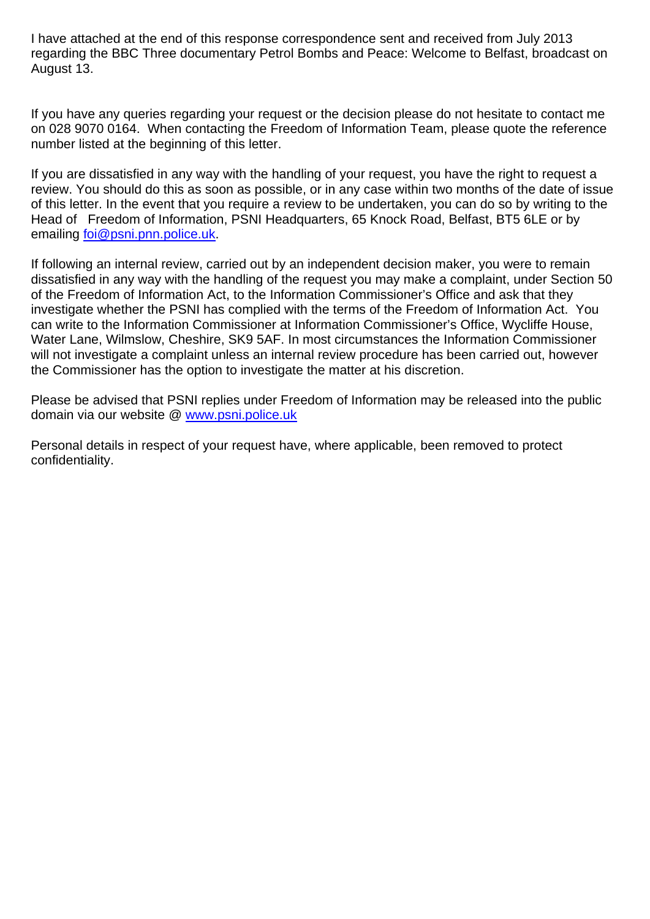I have attached at the end of this response correspondence sent and received from July 2013 regarding the BBC Three documentary Petrol Bombs and Peace: Welcome to Belfast, broadcast on August 13.

If you have any queries regarding your request or the decision please do not hesitate to contact me on 028 9070 0164. When contacting the Freedom of Information Team, please quote the reference number listed at the beginning of this letter.

If you are dissatisfied in any way with the handling of your request, you have the right to request a review. You should do this as soon as possible, or in any case within two months of the date of issue of this letter. In the event that you require a review to be undertaken, you can do so by writing to the Head of Freedom of Information, PSNI Headquarters, 65 Knock Road, Belfast, BT5 6LE or by emailing foi@psni.pnn.police.uk.

If following an internal review, carried out by an independent decision maker, you were to remain dissatisfied in any way with the handling of the request you may make a complaint, under Section 50 of the Freedom of Information Act, to the Information Commissioner's Office and ask that they investigate whether the PSNI has complied with the terms of the Freedom of Information Act. You can write to the Information Commissioner at Information Commissioner's Office, Wycliffe House, Water Lane, Wilmslow, Cheshire, SK9 5AF. In most circumstances the Information Commissioner will not investigate a complaint unless an internal review procedure has been carried out, however the Commissioner has the option to investigate the matter at his discretion.

Please be advised that PSNI replies under Freedom of Information may be released into the public domain via our website @ www.psni.police.uk

Personal details in respect of your request have, where applicable, been removed to protect confidentiality.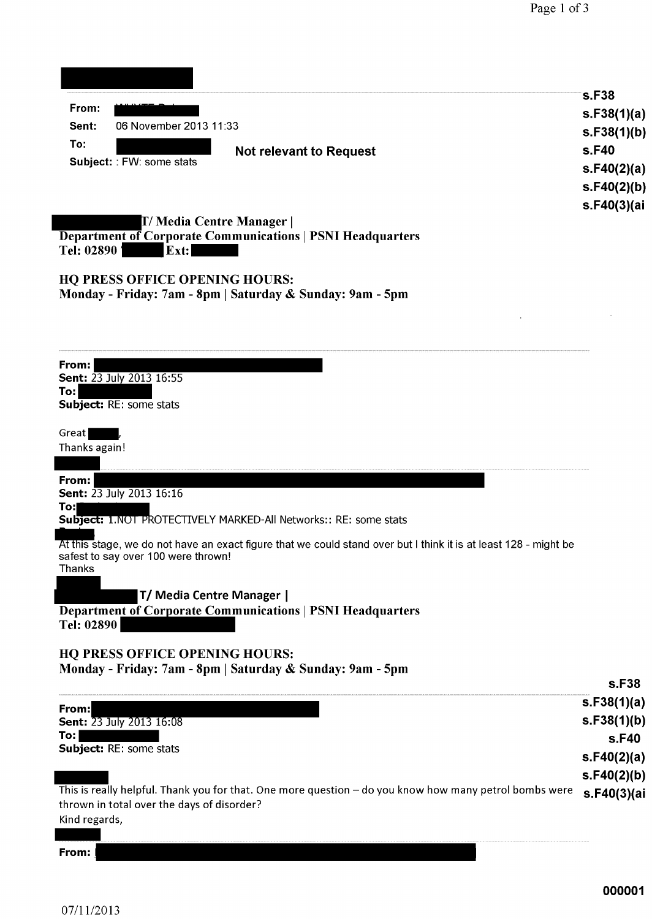| From:                                                                                                            | <b>s.F38</b>               |
|------------------------------------------------------------------------------------------------------------------|----------------------------|
| 06 November 2013 11:33<br>Sent:                                                                                  | s.F38(1)(a)<br>s.F38(1)(b) |
| To:<br><b>Not relevant to Request</b>                                                                            | s.F40                      |
| Subject: : FW: some stats                                                                                        | s.F40(2)(a)                |
|                                                                                                                  | s.F40(2)(b)                |
|                                                                                                                  | s.F40(3)(ai                |
| T/ Media Centre Manager                                                                                          |                            |
| <b>Department of Corporate Communications   PSNI Headquarters</b><br>Tel: 02890<br>Ext:                          |                            |
|                                                                                                                  |                            |
| <b>HQ PRESS OFFICE OPENING HOURS:</b>                                                                            |                            |
| Monday - Friday: 7am - 8pm   Saturday & Sunday: 9am - 5pm                                                        |                            |
|                                                                                                                  |                            |
|                                                                                                                  |                            |
| From:                                                                                                            |                            |
| Sent: 23 July 2013 16:55<br>To:                                                                                  |                            |
| Subject: RE: some stats                                                                                          |                            |
|                                                                                                                  |                            |
| Great<br>Thanks again!                                                                                           |                            |
|                                                                                                                  |                            |
| From:                                                                                                            |                            |
| Sent: 23 July 2013 16:16<br>To:                                                                                  |                            |
| Subject: 1.NOT PROTECTIVELY MARKED-All Networks:: RE: some stats                                                 |                            |
| At this stage, we do not have an exact figure that we could stand over but I think it is at least 128 - might be |                            |
| safest to say over 100 were thrown!<br><b>Thanks</b>                                                             |                            |
|                                                                                                                  |                            |
| T/ Media Centre Manager                                                                                          |                            |
| <b>Department of Corporate Communications   PSNI Headquarters</b><br>Tel: 02890                                  |                            |
|                                                                                                                  |                            |
| <b>HQ PRESS OFFICE OPENING HOURS:</b>                                                                            |                            |
| Monday - Friday: 7am - 8pm   Saturday & Sunday: 9am - 5pm                                                        | s.F38                      |
|                                                                                                                  | s.F38(1)(a)                |
| From:<br><b>Sent: 23 July 2013 16:08</b>                                                                         | s.F38(1)(b)                |
| To:                                                                                                              | s.F40                      |
| Subject: RE: some stats                                                                                          | s.F40(2)(a)                |
|                                                                                                                  | s.F40(2)(b)                |
| This is really helpful. Thank you for that. One more question - do you know how many petrol bombs were           | s.F40(3)(ai                |
| thrown in total over the days of disorder?<br>Kind regards,                                                      |                            |
|                                                                                                                  |                            |

 $From:$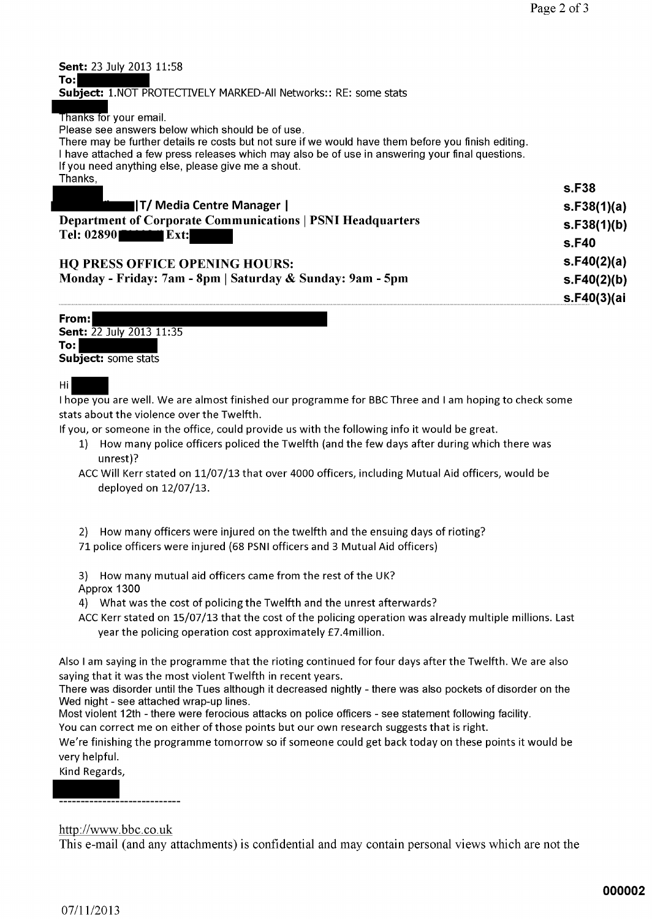s.F40(3)(ai

| <b>Sent:</b> 23 July 2013 11:58<br>To:l                                                                                                                                                                 |                   |
|---------------------------------------------------------------------------------------------------------------------------------------------------------------------------------------------------------|-------------------|
| <b>Subject: 1.NOT PROTECTIVELY MARKED-All Networks:: RE: some stats</b>                                                                                                                                 |                   |
|                                                                                                                                                                                                         |                   |
| Thanks for your email.<br>Please see answers below which should be of use.                                                                                                                              |                   |
|                                                                                                                                                                                                         |                   |
| There may be further details re costs but not sure if we would have them before you finish editing.<br>I have attached a few press releases which may also be of use in answering your final questions. |                   |
| If you need anything else, please give me a shout.                                                                                                                                                      |                   |
| Thanks,                                                                                                                                                                                                 |                   |
|                                                                                                                                                                                                         | s.F <sub>38</sub> |
|                                                                                                                                                                                                         |                   |
| ∎ T/ Media Centre Manager                                                                                                                                                                               | s.F38(1)(a)       |
| <b>Department of Corporate Communications   PSNI Headquarters</b>                                                                                                                                       | s.F38(1)(b)       |
| $Tel: 02890$ $2890$                                                                                                                                                                                     |                   |
|                                                                                                                                                                                                         | s.F40             |
| <b>HQ PRESS OFFICE OPENING HOURS:</b>                                                                                                                                                                   | s.F40(2)(a)       |
| Monday - Friday: 7am - 8pm   Saturday & Sunday: 9am - 5pm                                                                                                                                               | s.F40(2)(b)       |

| From:                           |  |
|---------------------------------|--|
|                                 |  |
| <b>Sent: 22 July 2013 11:35</b> |  |
| To: l                           |  |
|                                 |  |
| <b>Subject:</b> some stats      |  |
|                                 |  |

#### Hi

I hope you are well. We are almost finished our programme for BBC Three and I am hoping to check some stats about the violence over the Twelfth.

If you, or someone in the office, could provide us with the following info it would be great.

1) How many police officers policed the Twelfth (and the few days after during which there was unrest)?

ACC Will Kerr stated on 11/07/13 that over 4000 officers, including Mutual Aid officers, would be deployed on 12/07/13.

- 2) How many officers were injured on the twelfth and the ensuing days of rioting?
- 71 police officers were injured (68 PSNI officers and 3 Mutual Aid officers)

3) How many mutual aid officers came from the rest of the UK? Approx 1300

- 4) What was the cost of policing the Twelfth and the unrest afterwards?
- ACC Kerr stated on 15/07/13 that the cost of the policing operation was already multiple millions. Last year the policing operation cost approximately £7.4million.

Also I am saying in the programme that the rioting continued for four days after the Twelfth. We are also saying that it was the most violent Twelfth in recent years.

There was disorder until the Tues although it decreased nightly - there was also pockets of disorder on the Wed night - see attached wrap-up lines.

Most violent 12th - there were ferocious attacks on police officers - see statement following facility.

You can correct me on either of those points but our own research suggests that is right.

We're finishing the programme tomorrow so if someone could get back today on these points it would be very helpful.

Kind Regards,

#### http://www.bbc.co.uk

This e-mail (and any attachments) is confidential and may contain personal views which are not the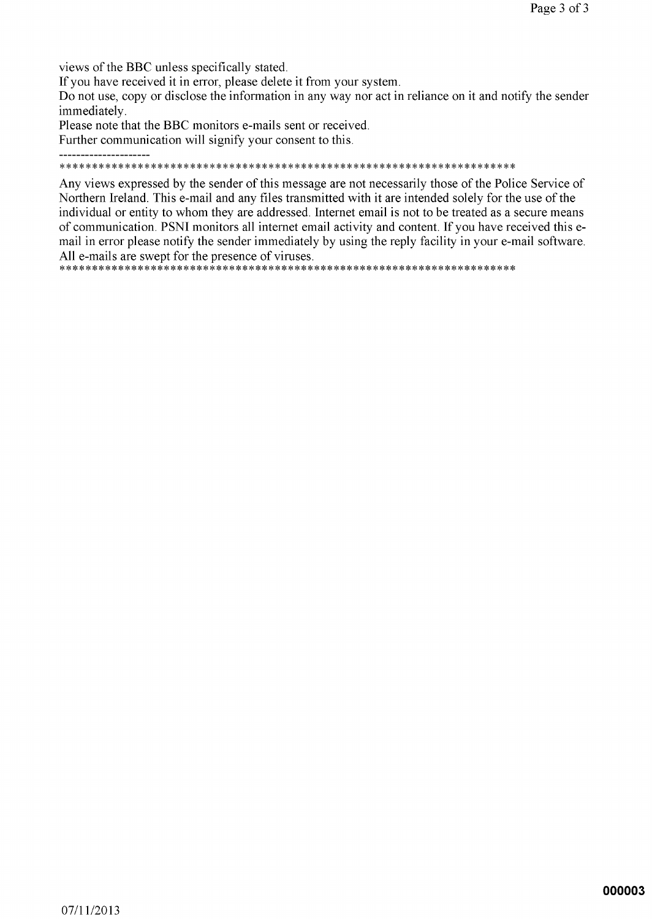views of the BBC unless specifically stated.

\_\_\_\_\_\_\_\_\_\_\_\_\_\_\_\_\_\_\_\_\_\_

If you have received it in error, please delete it from your system.

Do not use, copy or disclose the information in any way nor act in reliance on it and notify the sender immediately.

Please note that the BBC monitors e-mails sent or received.

Further communication will signify your consent to this.

#### 

Any views expressed by the sender of this message are not necessarily those of the Police Service of Northern Ireland. This e-mail and any files transmitted with it are intended solely for the use of the individual or entity to whom they are addressed. Internet email is not to be treated as a secure means of communication. PSNI monitors all internet email activity and content. If you have received this email in error please notify the sender immediately by using the reply facility in your e-mail software. All e-mails are swept for the presence of viruses.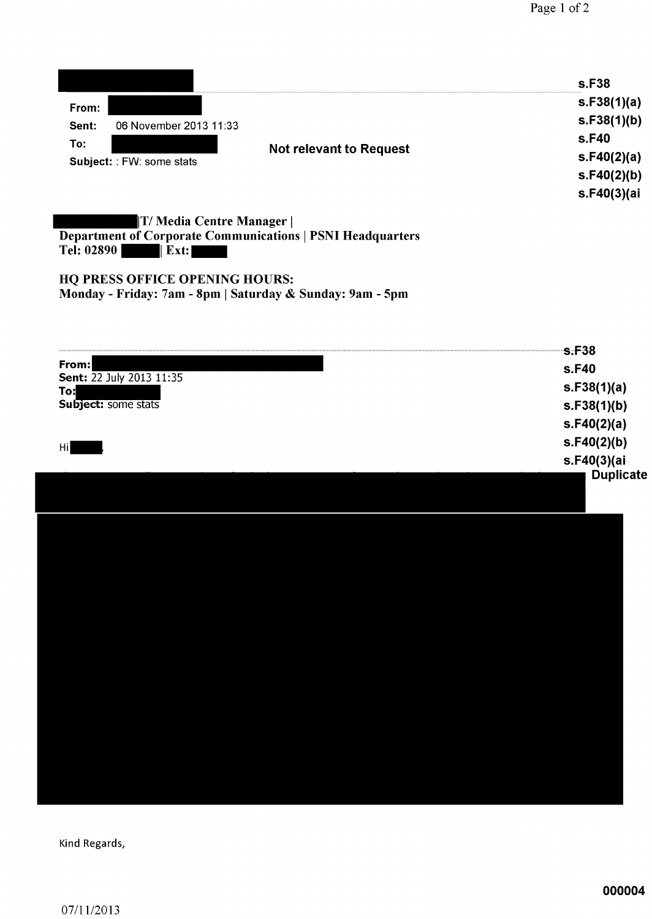|                                                                    |                        | s.F38       |
|--------------------------------------------------------------------|------------------------|-------------|
| From:                                                              |                        | s.F38(1)(a) |
| Sent:                                                              | 06 November 2013 11:33 | s.F38(1)(b) |
| To:<br><b>Not relevant to Request</b><br>Subject: : FW: some stats | s.F40                  |             |
|                                                                    | s.F40(2)(a)            |             |
|                                                                    | s.F40(2)(b)            |             |
|                                                                    |                        | s.F40(3)(ai |
|                                                                    |                        |             |

T/Media Centre Manager | Department of Corporate Communications | PSNI Headquarters<br>Tel: 02890 | Ext:

HQ PRESS OFFICE OPENING HOURS: Monday - Friday: 7am - 8pm | Saturday & Sunday: 9am - 5pm

|                                 | s.F38                           |
|---------------------------------|---------------------------------|
| From:                           | s.F40                           |
| Sent: 22 July 2013 11:35<br>To: | s.F38(1)(a)                     |
| Subject: some stats             | s.F38(1)(b)                     |
|                                 | s.F40(2)(a)                     |
| Hi                              | s.F40(2)(b)                     |
|                                 | s.F40(3)(ai<br><b>Duplicate</b> |
|                                 |                                 |
|                                 |                                 |
|                                 |                                 |
|                                 |                                 |
|                                 |                                 |
|                                 |                                 |
|                                 |                                 |
|                                 |                                 |
|                                 |                                 |
|                                 |                                 |
|                                 |                                 |
|                                 |                                 |
|                                 |                                 |
|                                 |                                 |
|                                 |                                 |
|                                 |                                 |

Kind Regards,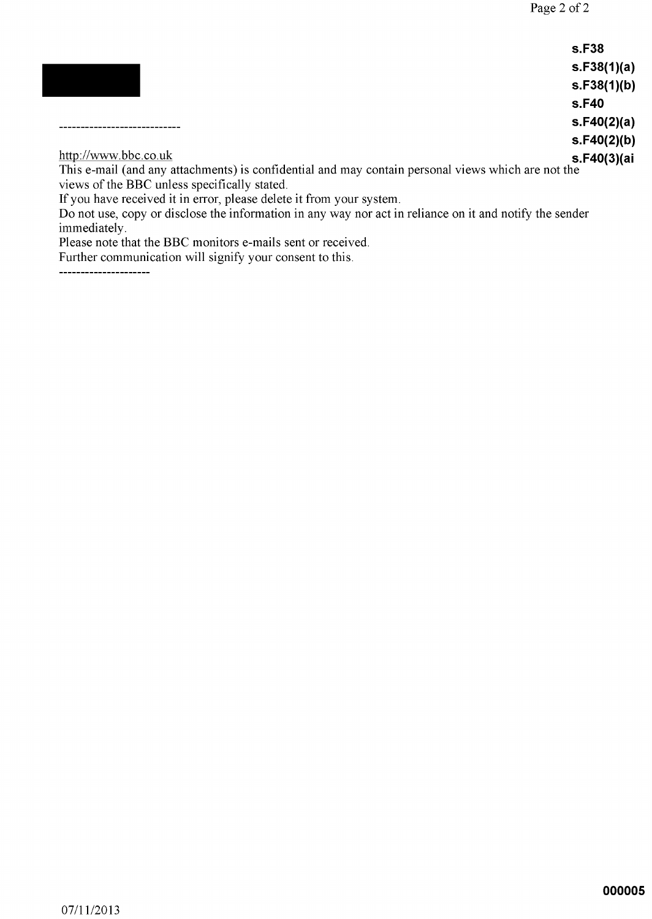|                                                                                                    | <b>s.F38</b> |
|----------------------------------------------------------------------------------------------------|--------------|
|                                                                                                    | s.F38(1)(a)  |
|                                                                                                    | s.F38(1)(b)  |
|                                                                                                    | s.F40        |
|                                                                                                    | s.F40(2)(a)  |
|                                                                                                    | s.F40(2)(b)  |
| http://www.bbc.co.uk                                                                               | s.F40(3)(ai  |
| This e-mail (and any attachments) is confidential and may contain personal views which are not the |              |
| views of the BBC unless specifically stated.                                                       |              |

If you have received it in error, please delete it from your system.<br>Do not use, copy or disclose the information in any way nor act in reliance on it and notify the sender immediately.

Please note that the BBC monitors e-mails sent or received.

Further communication will signify your consent to this.

---------------------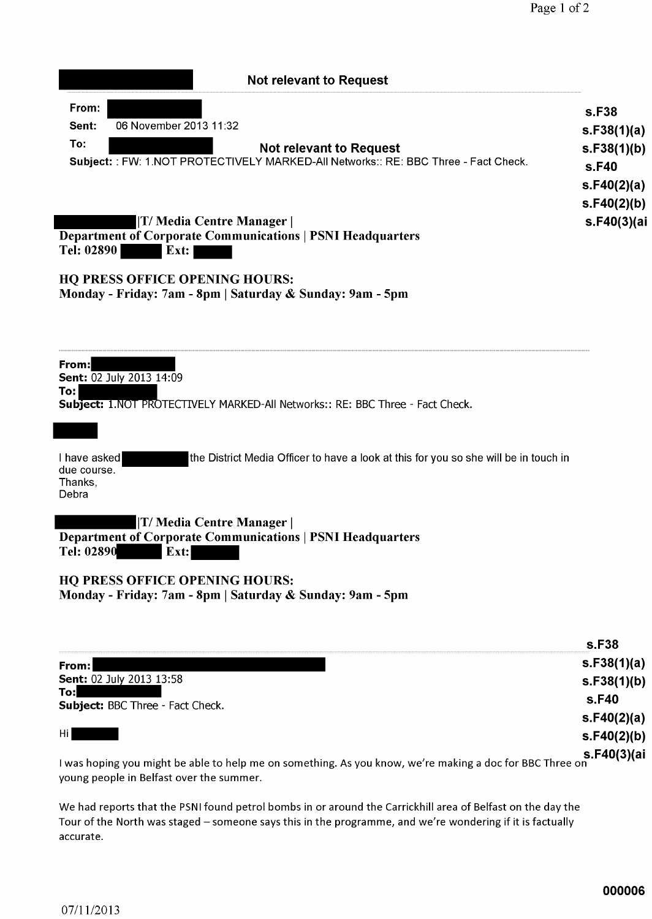| <b>Not relevant to Request</b>                                                                                       |                            |
|----------------------------------------------------------------------------------------------------------------------|----------------------------|
| From:<br>06 November 2013 11:32<br>Sent:                                                                             | s.F38                      |
| To:                                                                                                                  | s.F38(1)(a)                |
| <b>Not relevant to Request</b><br>Subject:: FW: 1.NOT PROTECTIVELY MARKED-All Networks:: RE: BBC Three - Fact Check. | s.F38(1)(b)<br>s.F40       |
|                                                                                                                      | s.F40(2)(a)                |
| T/ Media Centre Manager                                                                                              | s.F40(2)(b)<br>s.F40(3)(ai |
| <b>Department of Corporate Communications   PSNI Headquarters</b><br>Tel: 02890<br>Ext:                              |                            |
|                                                                                                                      |                            |
| <b>HQ PRESS OFFICE OPENING HOURS:</b><br>Monday - Friday: 7am - 8pm   Saturday & Sunday: 9am - 5pm                   |                            |
|                                                                                                                      |                            |
| From:                                                                                                                |                            |
| Sent: 02 July 2013 14:09<br>To:                                                                                      |                            |
| Subject: 1.NOT PROTECTIVELY MARKED-All Networks:: RE: BBC Three - Fact Check.                                        |                            |
|                                                                                                                      |                            |
| the District Media Officer to have a look at this for you so she will be in touch in<br>I have asked                 |                            |
| due course.<br>Thanks,<br>Debra                                                                                      |                            |
| T/ Media Centre Manager                                                                                              |                            |
| <b>Department of Corporate Communications   PSNI Headquarters</b><br>Tel: 02890<br>Ext:                              |                            |
| <b>HQ PRESS OFFICE OPENING HOURS:</b>                                                                                |                            |
| Monday - Friday: 7am - 8pm   Saturday & Sunday: 9am - 5pm                                                            |                            |
|                                                                                                                      |                            |
|                                                                                                                      | s.F38                      |
| From:<br>Sent: 02 July 2013 13:58                                                                                    | s.F38(1)(a)<br>s.F38(1)(b) |
| To:<br>Subject: BBC Three - Fact Check.                                                                              | s.F40                      |
|                                                                                                                      | s.F40(2)(a)                |
| Hi                                                                                                                   | s.F40(2)(b)                |
| ing you might ho able to belp me on comething. As you know, we're making a dos for PPC The                           | s.F40(3)(ai                |

I was hoping you might be able to help me on something. As you know, we're making a doc for BBC Three on young people in Belfast over the summer.

We had reports that the PSNI found petrol bombs in or around the Carrickhill area of Belfast on the day the Tour of the North was staged - someone says this in the programme, and we're wondering if it is factually accurate.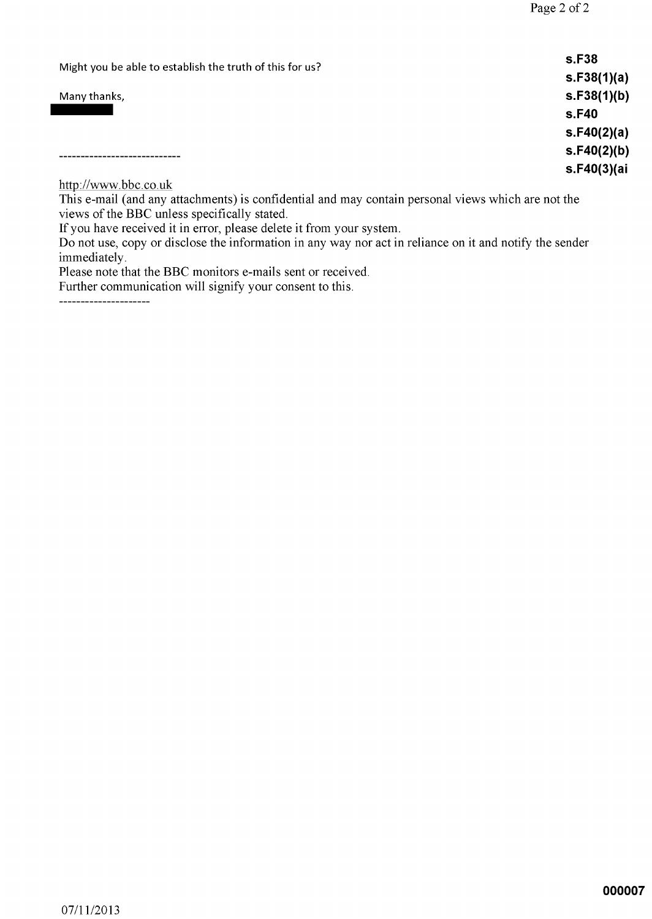| Might you be able to establish the truth of this for us?                                                                                | s.F38       |
|-----------------------------------------------------------------------------------------------------------------------------------------|-------------|
|                                                                                                                                         | s.F38(1)(a) |
| Many thanks,                                                                                                                            | s.F38(1)(b) |
|                                                                                                                                         | s.F40       |
|                                                                                                                                         | s.F40(2)(a) |
|                                                                                                                                         | s.F40(2)(b) |
|                                                                                                                                         | s.F40(3)(ai |
| http://www.bbc.co.uk<br>the contract of the contract of the contract of the contract of the contract of the contract of the contract of |             |

This e-mail (and any attachments) is confidential and may contain personal views which are not the views of the BBC unless specifically stated.

If you have received it in error, please delete it from your system.<br>Do not use, copy or disclose the information in any way nor act in reliance on it and notify the sender immediately.

Please note that the BBC monitors e-mails sent or received.

Further communication will signify your consent to this.

\_\_\_\_\_\_\_\_\_\_\_\_\_\_\_\_\_\_\_\_\_\_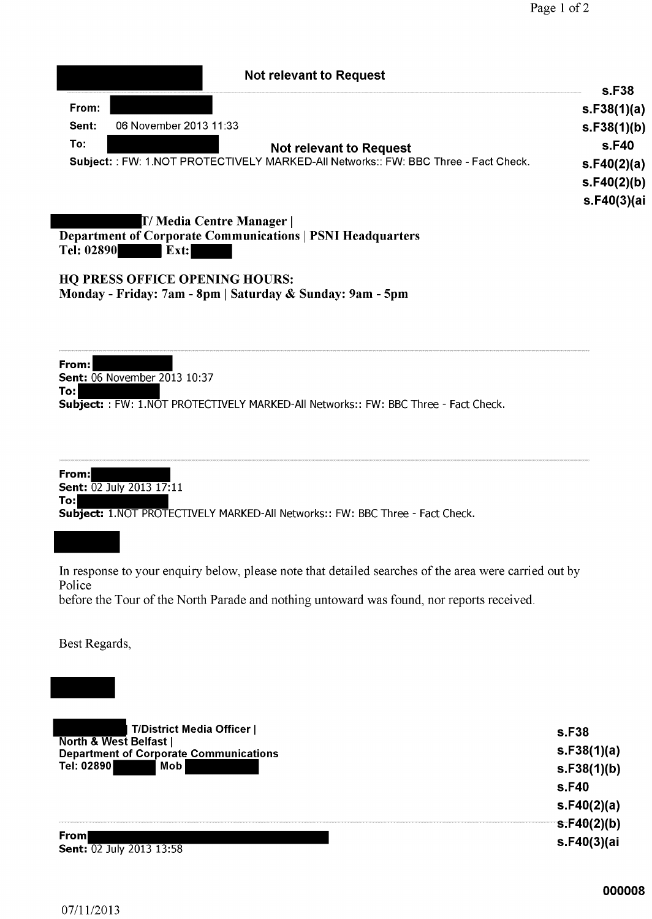| <b>Not relevant to Request</b>                                                      |                   |
|-------------------------------------------------------------------------------------|-------------------|
|                                                                                     | s.F <sub>38</sub> |
| From:                                                                               | s.F38(1)(a)       |
| 06 November 2013 11:33<br>Sent:                                                     | s.F38(1)(b)       |
| To:<br><b>Not relevant to Request</b>                                               | s.F40             |
| Subject: : FW: 1.NOT PROTECTIVELY MARKED-All Networks:: FW: BBC Three - Fact Check. | s.F40(2)(a)       |
|                                                                                     | s.F40(2)(b)       |
|                                                                                     | s.F40(3)(ai       |
| <b>T/ Media Centre Manager</b>                                                      |                   |
| <b>Department of Corporate Communications   PSNI Headquarters</b>                   |                   |
| Tel: 02890<br>$\boldsymbol{\mathrm{Ext:}}$                                          |                   |
| IIA BBBAA ABBIAR ABBUULA IIAIIBA                                                    |                   |

#### **HQ PRESS OFFICE OPENING HOURS:** Monday - Friday: 7am - 8pm | Saturday & Sunday: 9am - 5pm

From: Sent: 06 November 2013 10:37 To: Subject:: FW: 1.NOT PROTECTIVELY MARKED-All Networks:: FW: BBC Three - Fact Check.

From: Sent: 02 July 2013 17:11 To: Subject: 1.NOT PROTECTIVELY MARKED-All Networks:: FW: BBC Three - Fact Check.

In response to your enquiry below, please note that detailed searches of the area were carried out by Police before the Tour of the North Parade and nothing untoward was found, nor reports received.

Best Regards,

| T/District Media Officer                                                           | s.F38       |
|------------------------------------------------------------------------------------|-------------|
| <b>North &amp; West Belfast  </b><br><b>Department of Corporate Communications</b> | s.F38(1)(a) |
| Mob<br>Tel: 02890                                                                  | s.F38(1)(b) |
|                                                                                    | s.F40       |
|                                                                                    | s.F40(2)(a) |
|                                                                                    | s.F40(2)(b) |
| From<br><b>Sent: 02 July 2013 13:58</b>                                            | s.F40(3)(ai |